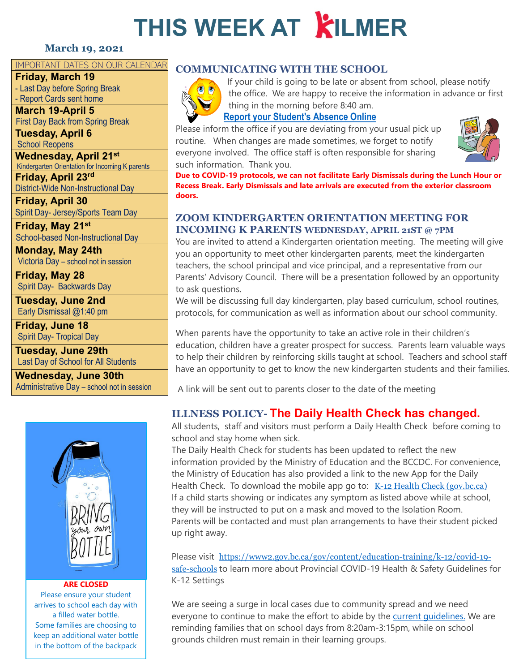# **THIS WEEK AT KILMER**

#### **March 19, 2021**

#### IMPORTANT DATES ON OUR CALENDAR

**Friday, March 19**

- Last Day before Spring Break - Report Cards sent home

**March 19-April 5** First Day Back from Spring Break

**Tuesday, April 6** School Reopens

**Wednesday, April 21st** Kindergarten Orientation for Incoming K parents

**Friday, April 23rd** District-Wide Non-Instructional Day

**Friday, April 30** Spirit Day- Jersey/Sports Team Day

**Friday, May 21st** School-based Non-Instructional Day

**Monday, May 24th** Victoria Day – school not in session

**Friday, May 28** Spirit Day- Backwards Day

**Tuesday, June 2nd** Early Dismissal @1:40 pm

**Friday, June 18** Spirit Day- Tropical Day

**Tuesday, June 29th** Last Day of School for All Students

**Wednesday, June 30th** Administrative Day – school not in session



#### **ARE CLOSED**

Please ensure your student arrives to school each day with a filled water bottle. Some families are choosing to keep an additional water bottle in the bottom of the backpack

#### **COMMUNICATING WITH THE SCHOOL**



If your child is going to be late or absent from school, please notify the office. We are happy to receive the information in advance or first thing in the morning before 8:40 am.

#### **[Report your Student's Absence Online](https://www2016.sd43.bc.ca/eforms/_layouts/15/FormServer.aspx?XsnLocation=http://www2016.sd43.bc.ca/eforms/AbsenceReportForm/Forms/template.xsn&OpenIn=browser&SaveLocation=http://www2016.sd43.bc.ca/eforms/AbsenceReportForm&Source=http://www2016.sd43.bc.ca/eforms/AbsenceReportForm)**

Please inform the office if you are deviating from your usual pick up routine. When changes are made sometimes, we forget to notify everyone involved. The office staff is often responsible for sharing such information. Thank you.



**Due to COVID-19 protocols, we can not facilitate Early Dismissals during the Lunch Hour or Recess Break. Early Dismissals and late arrivals are executed from the exterior classroom doors.**

#### **ZOOM KINDERGARTEN ORIENTATION MEETING FOR INCOMING K PARENTS WEDNESDAY, APRIL 21ST @ 7PM**

You are invited to attend a Kindergarten orientation meeting. The meeting will give you an opportunity to meet other kindergarten parents, meet the kindergarten teachers, the school principal and vice principal, and a representative from our Parents' Advisory Council. There will be a presentation followed by an opportunity to ask questions.

We will be discussing full day kindergarten, play based curriculum, school routines, protocols, for communication as well as information about our school community.

When parents have the opportunity to take an active role in their children's education, children have a greater prospect for success. Parents learn valuable ways to help their children by reinforcing skills taught at school. Teachers and school staff have an opportunity to get to know the new kindergarten students and their families.

A link will be sent out to parents closer to the date of the meeting

### **ILLNESS POLICY- The Daily Health Check has changed.**

All students, staff and visitors must perform [a Daily Health Check](https://www.sd43.bc.ca/school/kilmer/Documents/2021-02-18Daily%20Health%20Check%20-%20Students.pdf) before coming to school and stay home when sick.

The Daily Health Check for students has been updated to reflect the new information provided by the Ministry of Education and the BCCDC. For convenience, the Ministry of Education has also provided a link to the new App for the Daily Health Check. To download the mobile app go to:  $K-12$  Health Check (gov.bc.ca) If a child starts showing or indicates any symptom as listed above while at school, they will be instructed to put on a mask and moved to the Isolation Room. Parents will be contacted and must plan arrangements to have their student picked up right away.

Please visit [https://www2.gov.bc.ca/gov/content/education-training/k-12/covid-19](https://www2.gov.bc.ca/gov/content/education-training/k-12/covid-19-safe-schools) [safe-schools](https://www2.gov.bc.ca/gov/content/education-training/k-12/covid-19-safe-schools) to learn more about Provincial COVID-19 Health & Safety Guidelines for [K-12 Settings](https://www2.gov.bc.ca/assets/gov/education/administration/kindergarten-to-grade-12/safe-caring-orderly/k-12-covid-19-health-safety-guidlines.pdf)

We are seeing a surge in local cases due to community spread and we need everyone to continue to make the effort to abide by the current quidelines. We are reminding families that on school days from 8:20am-3:15pm, while on school grounds children must remain in their learning groups.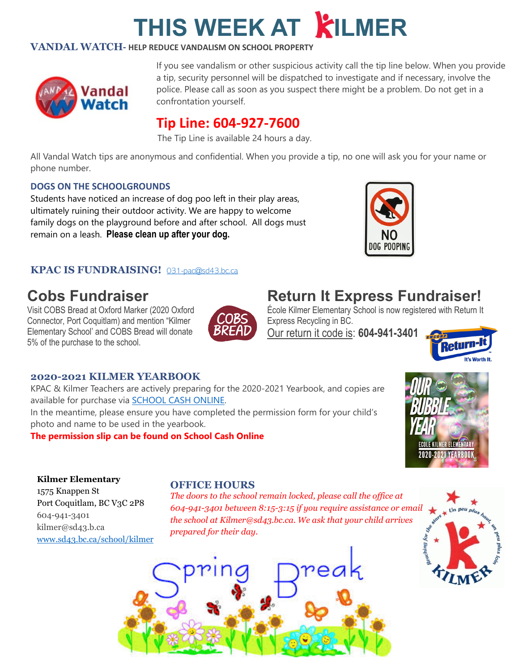# **THIS WEEK AT KILMER**

#### **VANDAL WATCH- HELP REDUCE VANDALISM ON SCHOOL PROPERTY**



If you see vandalism or other suspicious activity call the tip line below. When you provide a tip, security personnel will be dispatched to investigate and if necessary, involve the police. Please call as soon as you suspect there might be a problem. Do not get in a confrontation yourself.

### **Tip Line: 604-927-7600**

The Tip Line is available 24 hours a day.

All Vandal Watch tips are anonymous and confidential. When you provide a tip, no one will ask you for your name or phone number.

#### **DOGS ON THE SCHOOLGROUNDS**

Students have noticed an increase of dog poo left in their play areas, ultimately ruining their outdoor activity. We are happy to welcome family dogs on the playground before and after school. All dogs must remain on a leash. **Please clean up after your dog.**



## **Cobs Fundraiser**

Visit COBS Bread at Oxford Marker (2020 Oxford Connector, Port Coquitlam) and mention "Kilmer Elementary School' and COBS Bread will donate 5% of the purchase to the school.



## **Return It Express Fundraiser!**

NG POOPIN

École Kilmer Elementary School is now registered with Return It Express Recycling in BC.

Our return it code is: **604-941-3401** 



#### **2020-2021 KILMER YEARBOOK**

KPAC & Kilmer Teachers are actively preparing for the 2020-2021 Yearbook, and copies are available for purchase via **SCHOOL CASH ONLINE.** In the meantime, please ensure you have completed the permission form for your child's

photo and name to be used in the yearbook.

**The permission slip can be found on School Cash Online**



#### **Kilmer Elementary**

1575 Knappen St Port Coquitlam, BC V3C 2P8 604-941-3401 kilmer@sd43.b.ca [www.sd43.bc.ca/school/kilmer](http://www.sd43.bc.ca/school/kilmer)

#### **OFFICE HOURS**

*The doors to the school remain locked, please call the office at 604-941-3401 between 8:15-3:15 if you require assistance or email the school at Kilmer@sd43.bc.ca. We ask that your child arrives prepared for their day.*